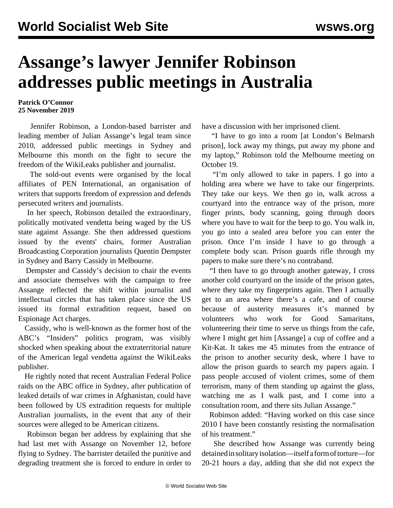## **Assange's lawyer Jennifer Robinson addresses public meetings in Australia**

## **Patrick O'Connor 25 November 2019**

 Jennifer Robinson, a London-based barrister and leading member of Julian Assange's legal team since 2010, addressed public meetings in Sydney and Melbourne this month on the fight to secure the freedom of the WikiLeaks publisher and journalist.

 The sold-out events were organised by the local affiliates of PEN International, an organisation of writers that supports freedom of expression and defends persecuted writers and journalists.

 In her speech, Robinson detailed the extraordinary, politically motivated vendetta being waged by the US state against Assange. She then addressed questions issued by the events' chairs, former Australian Broadcasting Corporation journalists Quentin Dempster in Sydney and Barry Cassidy in Melbourne.

 Dempster and Cassidy's decision to chair the events and associate themselves with the campaign to free Assange reflected the shift within journalist and intellectual circles that has taken place since the US issued its formal extradition request, based on Espionage Act charges.

 Cassidy, who is well-known as the former host of the ABC's "Insiders" politics program, was visibly shocked when speaking about the extraterritorial nature of the American legal vendetta against the WikiLeaks publisher.

 He rightly noted that recent Australian Federal Police raids on the ABC office in Sydney, after publication of leaked details of war crimes in Afghanistan, could have been followed by US extradition requests for multiple Australian journalists, in the event that any of their sources were alleged to be American citizens.

 Robinson began her address by explaining that she had last met with Assange on November 12, before flying to Sydney. The barrister detailed the punitive and degrading treatment she is forced to endure in order to

have a discussion with her imprisoned client.

 "I have to go into a room [at London's Belmarsh prison], lock away my things, put away my phone and my laptop," Robinson told the Melbourne meeting on October 19.

 "I'm only allowed to take in papers. I go into a holding area where we have to take our fingerprints. They take our keys. We then go in, walk across a courtyard into the entrance way of the prison, more finger prints, body scanning, going through doors where you have to wait for the beep to go. You walk in, you go into a sealed area before you can enter the prison. Once I'm inside I have to go through a complete body scan. Prison guards rifle through my papers to make sure there's no contraband.

 "I then have to go through another gateway, I cross another cold courtyard on the inside of the prison gates, where they take my fingerprints again. Then I actually get to an area where there's a cafe, and of course because of austerity measures it's manned by volunteers who work for Good Samaritans, volunteering their time to serve us things from the cafe, where I might get him [Assange] a cup of coffee and a Kit-Kat. It takes me 45 minutes from the entrance of the prison to another security desk, where I have to allow the prison guards to search my papers again. I pass people accused of violent crimes, some of them terrorism, many of them standing up against the glass, watching me as I walk past, and I come into a consultation room, and there sits Julian Assange."

 Robinson added: "Having worked on this case since 2010 I have been constantly resisting the normalisation of his treatment."

 She described how Assange was currently being detained in solitary isolation—itself a form of torture—for 20-21 hours a day, adding that she did not expect the